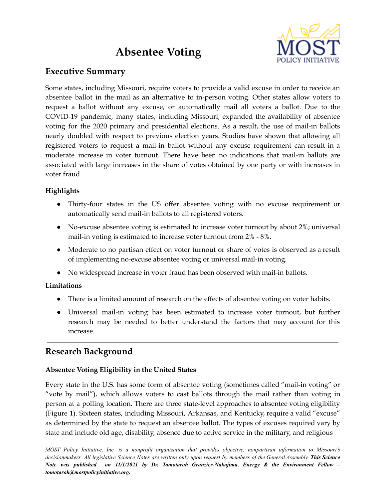# **Absentee Voting**



# **Executive Summary**

Some states, including Missouri, require voters to provide a valid excuse in order to receive an absentee ballot in the mail as an alternative to in-person voting. Other states allow voters to request a ballot without any excuse, or automatically mail all voters a ballot. Due to the COVID-19 pandemic, many states, including Missouri, expanded the availability of absentee voting for the 2020 primary and presidential elections. As a result, the use of mail-in ballots nearly doubled with respect to previous election years. Studies have shown that allowing all registered voters to request a mail-in ballot without any excuse requirement can result in a moderate increase in voter turnout. There have been no indications that mail-in ballots are associated with large increases in the share of votes obtained by one party or with increases in voter fraud.

## **Highlights**

- Thirty-four states in the US offer absentee voting with no excuse requirement or automatically send mail-in ballots to all registered voters.
- No-excuse absentee voting is estimated to increase voter turnout by about 2%; universal mail-in voting is estimated to increase voter turnout from 2% - 8%.
- Moderate to no partisan effect on voter turnout or share of votes is observed as a result of implementing no-excuse absentee voting or universal mail-in voting.
- No widespread increase in voter fraud has been observed with mail-in ballots.

## **Limitations**

- There is a limited amount of research on the effects of absentee voting on voter habits.
- Universal mail-in voting has been estimated to increase voter turnout, but further research may be needed to better understand the factors that may account for this increase.

# **Research Background**

## **Absentee Voting Eligibility in the United States**

Every state in the U.S. has some form of absentee voting (sometimes called "mail-in voting" or "vote by mail"), which allows voters to cast ballots through the mail rather than voting in person at a polling location. There are three state-level approaches to absentee voting eligibility (Figure 1). Sixteen states, including Missouri, Arkansas, and Kentucky, require a valid "excuse" as determined by the state to request an absentee ballot. The types of excuses required vary by state and include old age, disability, absence due to active service in the military, and religious

*MOST Policy Initiative, Inc. is a nonprofit organization that provides objective, nonpartisan information to Missouri's* decisionmakers. All legislative Science Notes are written only upon request by members of the General Assembly. This Science *Note was published on 11/1/2021 by Dr. Tomotaroh Granzier-Nakajima, Energy & the Environment Fellow – tomotaroh@mostpolicyinitiative.org.*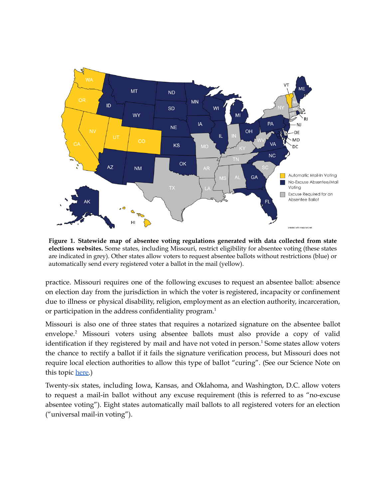

**Figure 1. Statewide map of absentee voting regulations generated with data collected from state elections websites.** Some states, including Missouri, restrict eligibility for absentee voting (these states are indicated in grey). Other states allow voters to request absentee ballots without restrictions (blue) or automatically send every registered voter a ballot in the mail (yellow).

practice. Missouri requires one of the following excuses to request an absentee ballot: absence on election day from the jurisdiction in which the voter is registered, incapacity or confinement due to illness or physical disability, religion, employment as an election authority, incarceration, or participation in the address confidentiality program. 1

Missouri is also one of three states that requires a notarized signature on the absentee ballot envelope. <sup>2</sup> Missouri voters using absentee ballots must also provide a copy of valid identification if they registered by mail and have not voted in person.<sup>1</sup> Some states allow voters the chance to rectify a ballot if it fails the signature verification process, but Missouri does not require local election authorities to allow this type of ballot "curing". (See our Science Note on this topic **here**.)

Twenty-six states, including Iowa, Kansas, and Oklahoma, and Washington, D.C. allow voters to request a mail-in ballot without any excuse requirement (this is referred to as "no-excuse absentee voting"). Eight states automatically mail ballots to all registered voters for an election ("universal mail-in voting").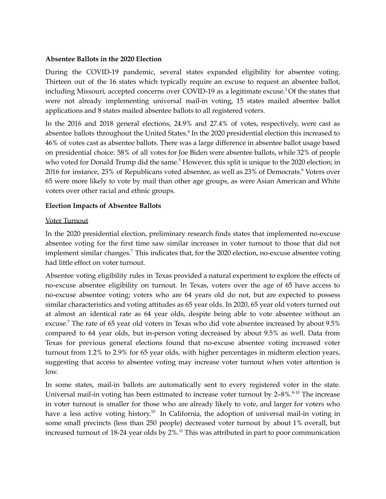#### **Absentee Ballots in the 2020 Election**

During the COVID-19 pandemic, several states expanded eligibility for absentee voting. Thirteen out of the 16 states which typically require an excuse to request an absentee ballot, including Missouri, accepted concerns over COVID-19 as a legitimate excuse. <sup>3</sup>Of the states that were not already implementing universal mail-in voting, 15 states mailed absentee ballot applications and 8 states mailed absentee ballots to all registered voters.

In the 2016 and 2018 general elections, 24.9% and 27.4% of votes, respectively, were cast as absentee ballots throughout the United States. 4 In the 2020 presidential election this increased to 46% of votes cast as absentee ballots. There was a large difference in absentee ballot usage based on presidential choice: 58% of all votes for Joe Biden were absentee ballots, while 32% of people who voted for Donald Trump did the same.<sup>5</sup> However, this split is unique to the 2020 election; in 2016 for instance, 23% of Republicans voted absentee, as well as 23% of Democrats. <sup>6</sup> Voters over 65 were more likely to vote by mail than other age groups, as were Asian American and White voters over other racial and ethnic groups.

#### **Election Impacts of Absentee Ballots**

#### Voter Turnout

In the 2020 presidential election, preliminary research finds states that implemented no-excuse absentee voting for the first time saw similar increases in voter turnout to those that did not implement similar changes.<sup>7</sup> This indicates that, for the 2020 election, no-excuse absentee voting had little effect on voter turnout.

Absentee voting eligibility rules in Texas provided a natural experiment to explore the effects of no-excuse absentee eligibility on turnout. In Texas, voters over the age of 65 have access to no-excuse absentee voting; voters who are 64 years old do not, but are expected to possess similar characteristics and voting attitudes as 65 year olds. In 2020, 65 year old voters turned out at almost an identical rate as 64 year olds, despite being able to vote absentee without an excuse.<sup>7</sup> The rate of 65 year old voters in Texas who did vote absentee increased by about 9.5% compared to 64 year olds, but in-person voting decreased by about 9.5% as well. Data from Texas for previous general elections found that no-excuse absentee voting increased voter turnout from 1.2% to 2.9% for 65 year olds, with higher percentages in midterm election years, suggesting that access to absentee voting may increase voter turnout when voter attention is low.

In some states, mail-in ballots are automatically sent to every registered voter in the state. Universal mail-in voting has been estimated to increase voter turnout by 2-8%.<sup>8-10</sup> The increase in voter turnout is smaller for those who are already likely to vote, and larger for voters who have a less active voting history.<sup>10</sup> In California, the adoption of universal mail-in voting in some small precincts (less than 250 people) decreased voter turnout by about 1% overall, but increased turnout of 18-24 year olds by 2%. <sup>11</sup> This was attributed in part to poor communication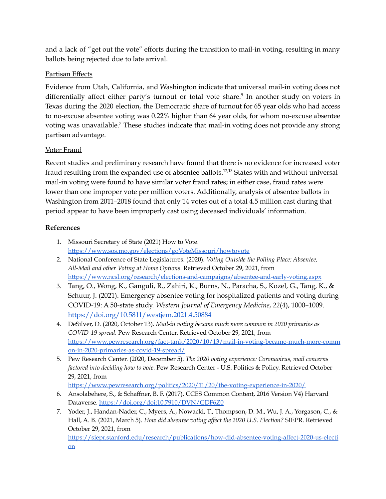and a lack of "get out the vote" efforts during the transition to mail-in voting, resulting in many ballots being rejected due to late arrival.

## Partisan Effects

Evidence from Utah, California, and Washington indicate that universal mail-in voting does not differentially affect either party's turnout or total vote share.<sup>9</sup> In another study on voters in Texas during the 2020 election, the Democratic share of turnout for 65 year olds who had access to no-excuse absentee voting was 0.22% higher than 64 year olds, for whom no-excuse absentee voting was unavailable.<sup>7</sup> These studies indicate that mail-in voting does not provide any strong partisan advantage.

## Voter Fraud

Recent studies and preliminary research have found that there is no evidence for increased voter fraud resulting from the expanded use of absentee ballots.<sup>12,13</sup> States with and without universal mail-in voting were found to have similar voter fraud rates; in either case, fraud rates were lower than one improper vote per million voters. Additionally, analysis of absentee ballots in Washington from 2011–2018 found that only 14 votes out of a total 4.5 million cast during that period appear to have been improperly cast using deceased individuals' information.

### **References**

- 1. Missouri Secretary of State (2021) How to Vote. <https://www.sos.mo.gov/elections/goVoteMissouri/howtovote>
- 2. National Conference of State Legislatures. (2020). *Voting Outside the Polling Place: Absentee, All-Mail and other Voting at Home Options*. Retrieved October 29, 2021, from <https://www.ncsl.org/research/elections-and-campaigns/absentee-and-early-voting.aspx>
- 3. Tang, O., Wong, K., Ganguli, R., Zahiri, K., Burns, N., Paracha, S., Kozel, G., Tang, K., & Schuur, J. (2021). Emergency absentee voting for hospitalized patients and voting during COVID-19: A 50-state study. *Western Journal of Emergency Medicine*, *22*(4), 1000–1009. <https://doi.org/10.5811/westjem.2021.4.50884>
- 4. DeSilver, D. (2020, October 13). *Mail-in voting became much more common in 2020 primaries as COVID-19 spread*. Pew Research Center. Retrieved October 29, 2021, from [https://www.pewresearch.org/fact-tank/2020/10/13/mail-in-voting-became-much-more-comm](https://www.pewresearch.org/fact-tank/2020/10/13/mail-in-voting-became-much-more-common-in-2020-primaries-as-covid-19-spread/) [on-in-2020-primaries-as-covid-19-spread/](https://www.pewresearch.org/fact-tank/2020/10/13/mail-in-voting-became-much-more-common-in-2020-primaries-as-covid-19-spread/)
- 5. Pew Research Center. (2020, December 5). *The 2020 voting experience: Coronavirus, mail concerns factored into deciding how to vote*. Pew Research Center - U.S. Politics & Policy. Retrieved October 29, 2021, from

<https://www.pewresearch.org/politics/2020/11/20/the-voting-experience-in-2020/>

- 6. Ansolabehere, S., & Schaffner, B. F. (2017). CCES Common Content, 2016 Version V4) Harvard Dataverse. <https://doi.org/doi:10.7910/DVN/GDF6Z0>
- 7. Yoder, J., Handan-Nader, C., Myers, A., Nowacki, T., Thompson, D. M., Wu, J. A., Yorgason, C., & Hall, A. B. (2021, March 5). *How did absentee voting af ect the 2020 U.S. Election?* SIEPR. Retrieved October 29, 2021, from [https://siepr.stanford.edu/research/publications/how-did-absentee-voting-affect-2020-us-electi](https://siepr.stanford.edu/research/publications/how-did-absentee-voting-affect-2020-us-election) [on](https://siepr.stanford.edu/research/publications/how-did-absentee-voting-affect-2020-us-election)